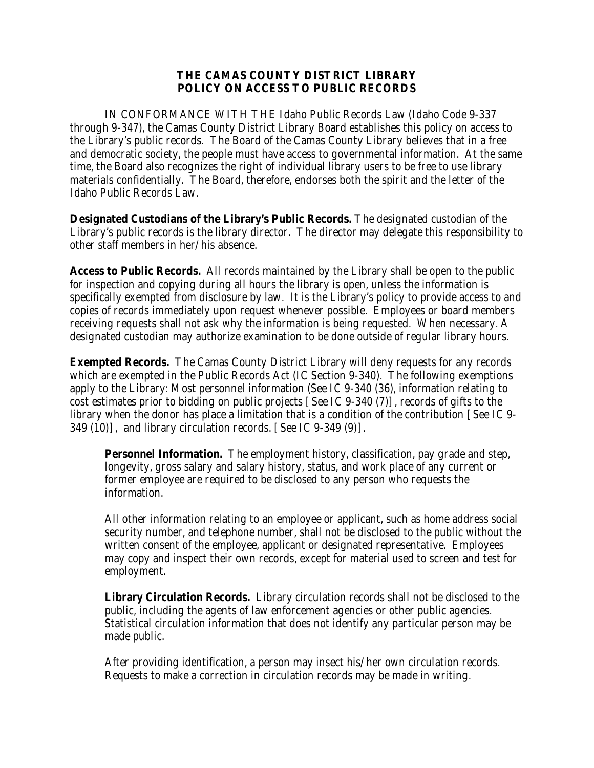## **THE CAMAS COUNTY DISTRICT LIBRARY POLICY ON ACCESS TO PUBLIC RECORDS**

IN CONFORMANCE WITH THE Idaho Public Records Law (Idaho Code 9-337 through 9-347), the Camas County District Library Board establishes this policy on access to the Library's public records. The Board of the Camas County Library believes that in a free and democratic society, the people must have access to governmental information. At the same time, the Board also recognizes the right of individual library users to be free to use library materials confidentially. The Board, therefore, endorses both the spirit and the letter of the Idaho Public Records Law.

**Designated Custodians of the Library's Public Records.** The designated custodian of the Library's public records is the library director. The director may delegate this responsibility to other staff members in her/his absence.

**Access to Public Records.** All records maintained by the Library shall be open to the public for inspection and copying during all hours the library is open, unless the information is specifically exempted from disclosure by law. It is the Library's policy to provide access to and copies of records immediately upon request whenever possible. Employees or board members receiving requests shall not ask why the information is being requested. When necessary. A designated custodian may authorize examination to be done outside of regular library hours.

**Exempted Records.** The Camas County District Library will deny requests for any records which are exempted in the Public Records Act (IC Section 9-340). The following exemptions apply to the Library: Most personnel information (See IC 9-340 (36), information relating to cost estimates prior to bidding on public projects [See IC 9-340 (7)], records of gifts to the library when the donor has place a limitation that is a condition of the contribution [See IC 9- 349 (10)], and library circulation records. [See IC 9-349 (9)].

**Personnel Information.** The employment history, classification, pay grade and step, longevity, gross salary and salary history, status, and work place of any current or former employee are required to be disclosed to any person who requests the information.

All other information relating to an employee or applicant, such as home address social security number, and telephone number, shall not be disclosed to the public without the written consent of the employee, applicant or designated representative. Employees may copy and inspect their own records, except for material used to screen and test for employment.

**Library Circulation Records.** Library circulation records shall not be disclosed to the public, including the agents of law enforcement agencies or other public agencies. Statistical circulation information that does not identify any particular person may be made public.

After providing identification, a person may insect his/her own circulation records. Requests to make a correction in circulation records may be made in writing.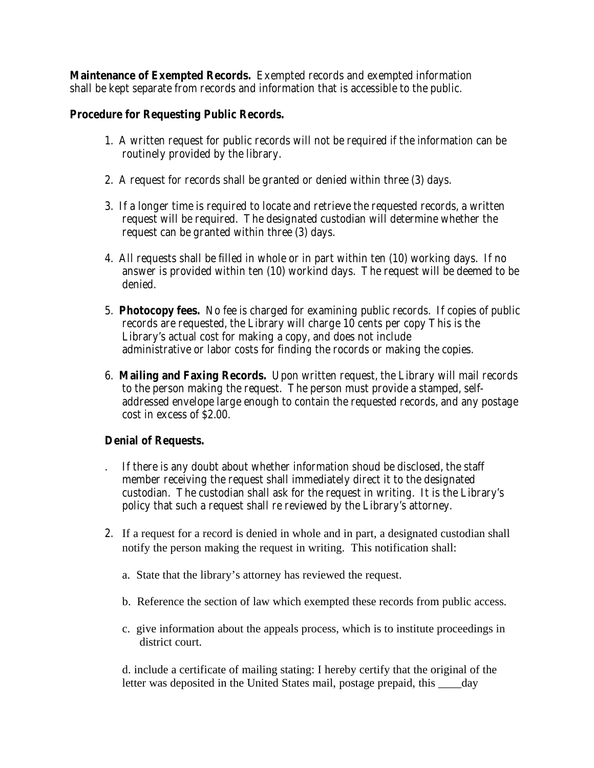**Maintenance of Exempted Records.** Exempted records and exempted information shall be kept separate from records and information that is accessible to the public.

## **Procedure for Requesting Public Records.**

- 1. A written request for public records will not be required if the information can be routinely provided by the library.
- 2. A request for records shall be granted or denied within three (3) days.
- 3. If a longer time is required to locate and retrieve the requested records, a written request will be required. The designated custodian will determine whether the request can be granted within three (3) days.
- 4. All requests shall be filled in whole or in part within ten (10) working days. If no answer is provided within ten (10) workind days. The request will be deemed to be denied.
- 5. **Photocopy fees.** No fee is charged for examining public records. If copies of public records are requested, the Library will charge 10 cents per copy This is the Library's actual cost for making a copy, and does not include administrative or labor costs for finding the rocords or making the copies.
- 6. **Mailing and Faxing Records.** Upon written request, the Library will mail records to the person making the request. The person must provide a stamped, selfaddressed envelope large enough to contain the requested records, and any postage cost in excess of \$2.00.

## **Denial of Requests.**

- . If there is any doubt about whether information shoud be disclosed, the staff member receiving the request shall immediately direct it to the designated custodian. The custodian shall ask for the request in writing. It is the Library's policy that such a request shall re reviewed by the Library's attorney.
- 2. If a request for a record is denied in whole and in part, a designated custodian shall notify the person making the request in writing. This notification shall:
	- a. State that the library's attorney has reviewed the request.
	- b. Reference the section of law which exempted these records from public access.
	- c. give information about the appeals process, which is to institute proceedings in district court.

d. include a certificate of mailing stating: I hereby certify that the original of the letter was deposited in the United States mail, postage prepaid, this \_\_\_\_day